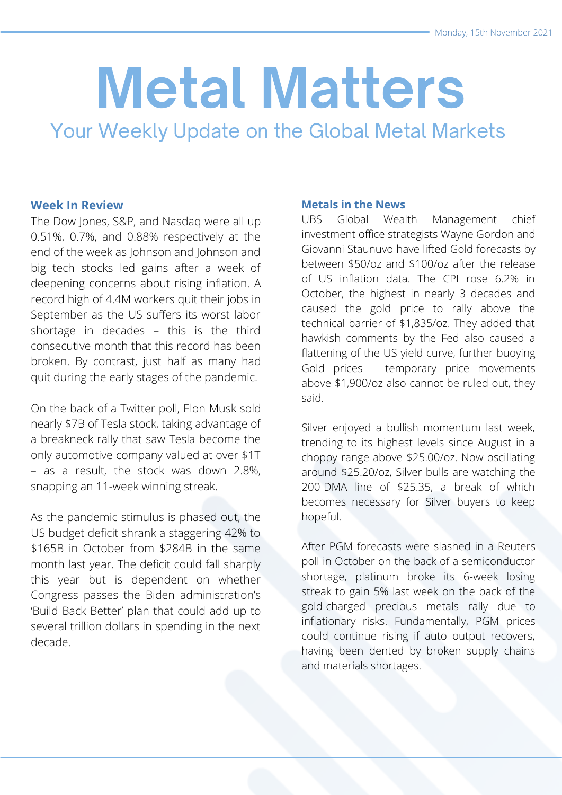# Metal Matters

Your Weekly Update on the Global Metal Markets

## **Week In Review**

The Dow Jones, S&P, and Nasdaq were all up 0.51%, 0.7%, and 0.88% respectively at the end of the week as Johnson and Johnson and big tech stocks led gains after a week of deepening concerns about rising inflation. A record high of 4.4M workers quit their jobs in September as the US suffers its worst labor shortage in decades – this is the third consecutive month that this record has been broken. By contrast, just half as many had quit during the early stages of the pandemic.

On the back of a Twitter poll, Elon Musk sold nearly \$7B of Tesla stock, taking advantage of a breakneck rally that saw Tesla become the only automotive company valued at over \$1T – as a result, the stock was down 2.8%, snapping an 11-week winning streak.

As the pandemic stimulus is phased out, the US budget deficit shrank a staggering 42% to \$165B in October from \$284B in the same month last year. The deficit could fall sharply this year but is dependent on whether Congress passes the Biden administration's 'Build Back Better' plan that could add up to several trillion dollars in spending in the next decade.

### **Metals in the News**

UBS Global Wealth Management chief investment office strategists Wayne Gordon and Giovanni Staunuvo have lifted Gold forecasts by between \$50/oz and \$100/oz after the release of US inflation data. The CPI rose 6.2% in October, the highest in nearly 3 decades and caused the gold price to rally above the technical barrier of \$1,835/oz. They added that hawkish comments by the Fed also caused a flattening of the US yield curve, further buoying Gold prices – temporary price movements above \$1,900/oz also cannot be ruled out, they said.

Silver enjoyed a bullish momentum last week, trending to its highest levels since August in a choppy range above \$25.00/oz. Now oscillating around \$25.20/oz, Silver bulls are watching the 200-DMA line of \$25.35, a break of which becomes necessary for Silver buyers to keep hopeful.

After PGM forecasts were slashed in a Reuters poll in October on the back of a semiconductor shortage, platinum broke its 6-week losing streak to gain 5% last week on the back of the gold-charged precious metals rally due to inflationary risks. Fundamentally, PGM prices could continue rising if auto output recovers, having been dented by broken supply chains and materials shortages.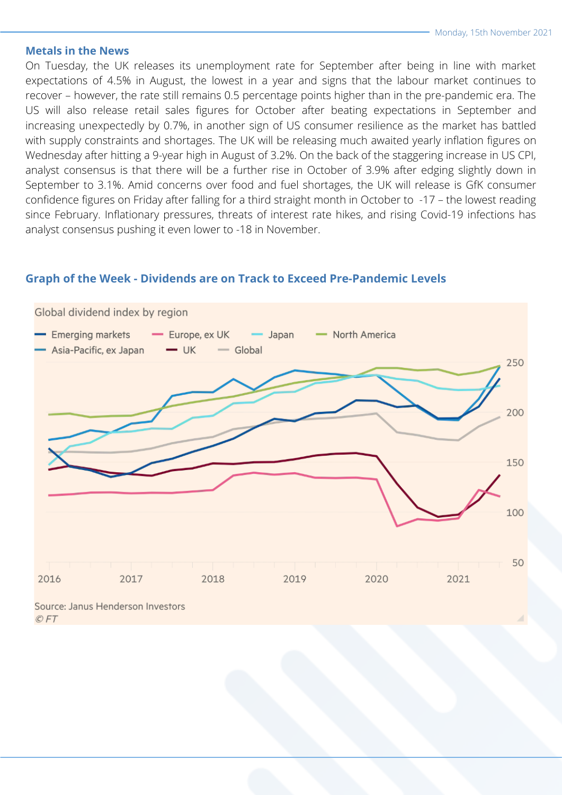#### **Metals in the News**

On Tuesday, the UK releases its unemployment rate for September after being in line with market expectations of 4.5% in August, the lowest in a year and signs that the labour market continues to recover – however, the rate still remains 0.5 percentage points higher than in the pre-pandemic era. The US will also release retail sales figures for October after beating expectations in September and increasing unexpectedly by 0.7%, in another sign of US consumer resilience as the market has battled with supply constraints and shortages. The UK will be releasing much awaited yearly inflation figures on Wednesday after hitting a 9-year high in August of 3.2%. On the back of the staggering increase in US CPI, analyst consensus is that there will be a further rise in October of 3.9% after edging slightly down in September to 3.1%. Amid concerns over food and fuel shortages, the UK will release is GfK consumer confidence figures on Friday after falling for a third straight month in October to -17 – the lowest reading since February. Inflationary pressures, threats of interest rate hikes, and rising Covid-19 infections has analyst consensus pushing it even lower to -18 in November.



## **Graph of the Week - Dividends are on Track to Exceed Pre-Pandemic Levels**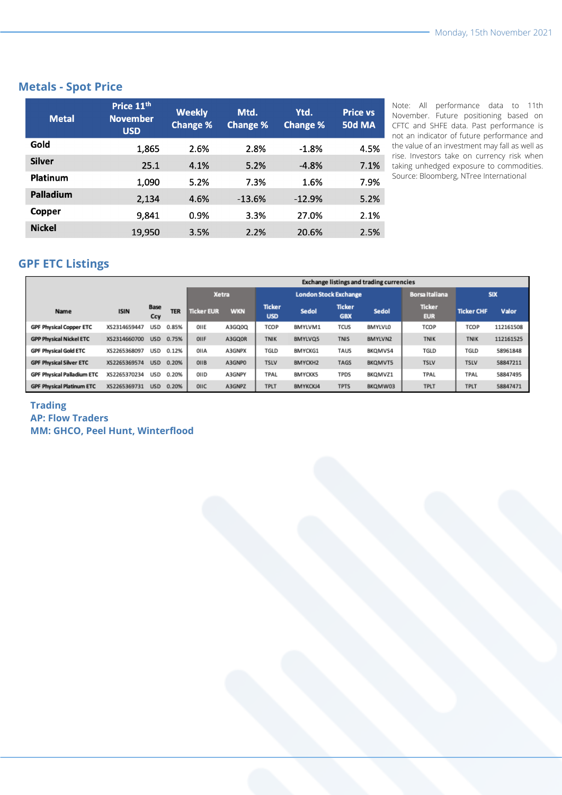# **Metals - Spot Price**

| <b>Metal</b>    | Price 11 <sup>th</sup><br><b>November</b><br><b>USD</b> | <b>Weekly</b><br><b>Change %</b> | Mtd.<br><b>Change %</b> | Ytd.<br><b>Change %</b> | <b>Price vs</b><br><b>50d MA</b> |
|-----------------|---------------------------------------------------------|----------------------------------|-------------------------|-------------------------|----------------------------------|
| Gold            | 1,865                                                   | 2.6%                             | 2.8%                    | $-1.8%$                 | 4.5%                             |
| <b>Silver</b>   | 25.1                                                    | 4.1%                             | 5.2%                    | $-4.8%$                 | 7.1%                             |
| <b>Platinum</b> | 1,090                                                   | 5.2%                             | 7.3%                    | 1.6%                    | 7.9%                             |
| Palladium       | 2,134                                                   | 4.6%                             | $-13.6%$                | $-12.9%$                | 5.2%                             |
| Copper          | 9,841                                                   | 0.9%                             | 3.3%                    | 27.0%                   | 2.1%                             |
| <b>Nickel</b>   | 19,950                                                  | 3.5%                             | 2.2%                    | 20.6%                   | 2.5%                             |

Note: All performance data to 11th November. Future positioning based on CFTC and SHFE data. Past performance is not an indicator of future performance and the value of an investment may fall as well as rise. Investors take on currency risk when taking unhedged exposure to commodities. Source: Bloomberg, NTree International

# **GPF ETC Listings**

|                                   |              |             |            | <b>Exchange listings and trading currencies</b> |            |                              |                |                             |                |                             |                   |           |
|-----------------------------------|--------------|-------------|------------|-------------------------------------------------|------------|------------------------------|----------------|-----------------------------|----------------|-----------------------------|-------------------|-----------|
|                                   |              |             |            | <b>Xetra</b>                                    |            | <b>London Stock Exchange</b> |                |                             |                | <b>Borsa Italiana</b>       | <b>SIX</b>        |           |
| <b>Name</b>                       | <b>ISIN</b>  | Base<br>Ccy | <b>TER</b> | <b>Ticker EUR</b>                               | <b>WKN</b> | <b>Ticker</b><br><b>USD</b>  | Sedol          | <b>Ticker</b><br><b>GBX</b> | Sedol          | <b>Ticker</b><br><b>EUR</b> | <b>Ticker CHF</b> | Valor     |
| <b>GPF Physical Copper ETC</b>    | XS2314659447 | <b>USD</b>  | 0.85%      | OIIE                                            | A3GQ0Q     | TCOP                         | BMYLVM1        | <b>TCUS</b>                 | <b>BMYLVLO</b> | <b>TCOP</b>                 | TCOP              | 112161508 |
| <b>GPP Physical Nickel ETC</b>    | XS2314660700 | <b>USD</b>  | 0.75%      | OIIF                                            | A3GQ0R     | <b>TNIK</b>                  | BMYLVQ5        | <b>TNIS</b>                 | BMYLVN2        | <b>TNIK</b>                 | <b>TNIK</b>       | 112161525 |
| <b>GPF Physical Gold ETC</b>      | XS2265368097 | USD         | 0.12%      | OIIA                                            | A3GNPX     | TGLD                         | <b>BMYCKG1</b> | TAUS                        | BKQMVS4        | TGLD                        | TGLD              | 58961848  |
| <b>GPF Physical Silver ETC</b>    | XS2265369574 | <b>USD</b>  | 0.20%      | OIIB                                            | A3GNPO     | <b>TSLV</b>                  | BMYCKH2        | <b>TAGS</b>                 | BKQMVT5        | <b>TSLV</b>                 | <b>TSLV</b>       | 58847211  |
| <b>GPF Physical Palladium ETC</b> | XS2265370234 | <b>USD</b>  | 0.20%      | OIID                                            | A3GNPY     | TPAL                         | <b>BMYCKK5</b> | <b>TPDS</b>                 | BKQMVZ1        | TPAL                        | TPAL              | 58847495  |
| <b>GPF Physical Platinum ETC</b>  | XS2265369731 | <b>USD</b>  | 0.20%      | OIIC                                            | A3GNPZ     | <b>TPLT</b>                  | BMYKCKJ4       | <b>TPTS</b>                 | BKQMW03        | <b>TPLT</b>                 | <b>TPLT</b>       | 58847471  |

#### **Trading AP: Flow Traders MM: GHCO, Peel Hunt, Winterflood**